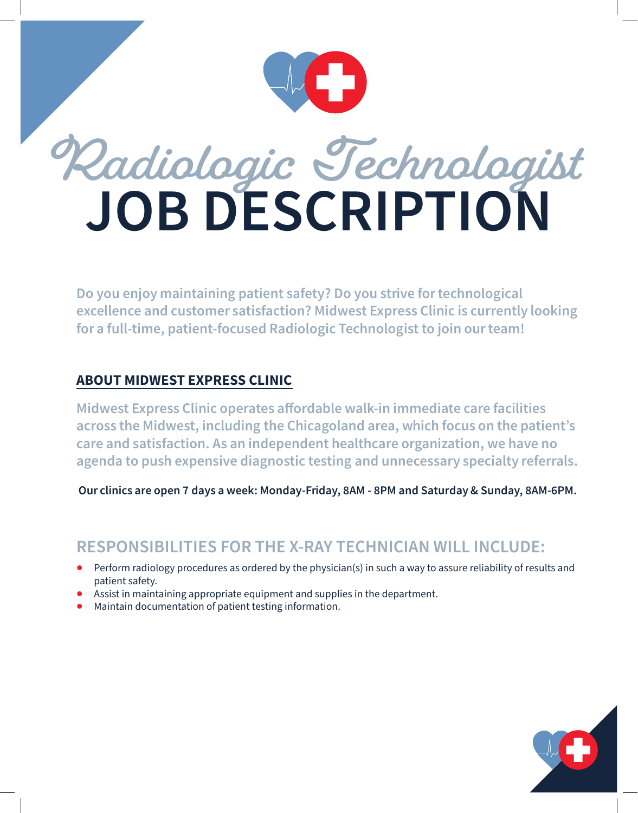

# **Radiologic Technologist JOB DESCRIPTION**

Do you enjoy maintaining patient safety? Do you strive for technological excellence and customer satisfaction? Midwest Express Clinic is currently looking for a full-time, patient-focused Radiologic Technologist to join our team!

#### ABOUT MIDWEST EXPRESS CLINIC

Midwest Express Clinic operates affordable walk-in immediate care facilities across the Midwest, including the Chicagoland area, which focus on the patient's care and satisfaction. As an independent healthcare organization, we have no agenda to push expensive diagnostic testing and unnecessary specialty referrals.

Our clinics are open 7 days a week: Monday-Friday, 8AM - 8PM and Saturday & Sunday, 8AM-6PM.

## **RESPONSIBILITIES FOR THE X-RAY TECHNICIAN WILL INCLUDE:**

- Perform radiology procedures as ordered by the physician(s) in such a way to assure reliability of results and patient safety.
- Assist in maintaining appropriate equipment and supplies in the department.
- Maintain documentation of patient testing information.